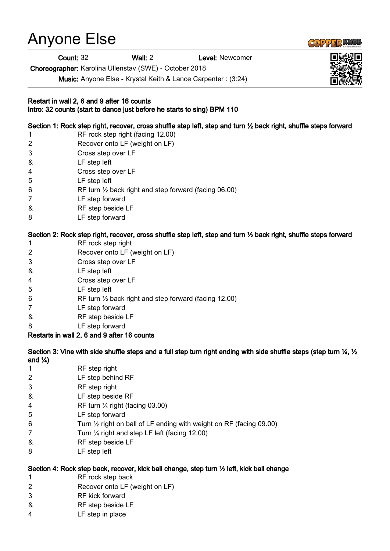# Anyone Else

Count: 32 Wall: 2 Level: Newcomer

Choreographer: Karolina Ullenstav (SWE) - October 2018

Music: Anyone Else - Krystal Keith & Lance Carpenter : (3:24)

#### Restart in wall 2, 6 and 9 after 16 counts Intro: 32 counts (start to dance just before he starts to sing) BPM 110

Section 1: Rock step right, recover, cross shuffle step left, step and turn ½ back right, shuffle steps forward

- 1 RF rock step right (facing 12.00)
- 2 Recover onto LF (weight on LF)
- 3 Cross step over LF
- & LF step left
- 4 Cross step over LF
- 5 LF step left
- 6 RF turn ½ back right and step forward (facing 06.00)
- 7 LF step forward
- & RF step beside LF
- 8 LF step forward

# Section 2: Rock step right, recover, cross shuffle step left, step and turn ½ back right, shuffle steps forward

- 1 RF rock step right
- 2 Recover onto LF (weight on LF)
- 3 Cross step over LF
- & LF step left
- 4 Cross step over LF
- 5 LF step left
- 6 RF turn ½ back right and step forward (facing 12.00)
- 7 LF step forward
- & RF step beside LF
- 8 LF step forward

## Restarts in wall 2, 6 and 9 after 16 counts

Section 3: Vine with side shuffle steps and a full step turn right ending with side shuffle steps (step turn  $\frac{1}{4}$ ,  $\frac{1}{2}$ ) and  $\frac{1}{4}$ 

- 1 RF step right
- 2 LF step behind RF
- 3 RF step right
- & LF step beside RF
- 4 RF turn ¼ right (facing 03.00)
- 5 LF step forward
- 6 Turn  $\frac{1}{2}$  right on ball of LF ending with weight on RF (facing 09.00)
- 7 Turn ¼ right and step LF left (facing 12.00)
- & RF step beside LF
- 8 LF step left

## Section 4: Rock step back, recover, kick ball change, step turn ½ left, kick ball change

- 1 RF rock step back
- 2 Recover onto LF (weight on LF)
- 3 RF kick forward
- & RF step beside LF
- 4 LF step in place